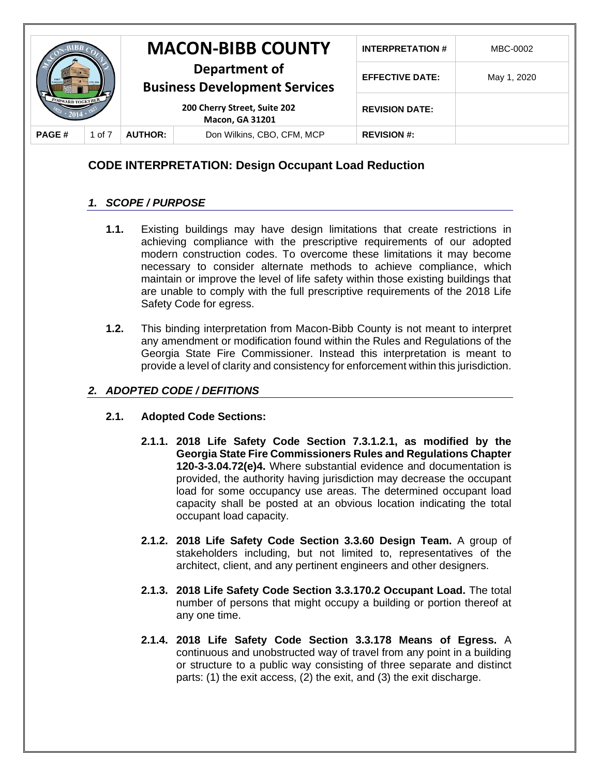|                         |        |                                                        | <b>MACON-BIBB COUNTY</b>   | <b>INTERPRETATION#</b> | MBC-0002    |
|-------------------------|--------|--------------------------------------------------------|----------------------------|------------------------|-------------|
|                         |        | Department of<br><b>Business Development Services</b>  |                            | <b>EFFECTIVE DATE:</b> | May 1, 2020 |
| <b>FORWARD TOGETHER</b> |        | 200 Cherry Street, Suite 202<br><b>Macon, GA 31201</b> |                            | <b>REVISION DATE:</b>  |             |
| <b>PAGE#</b>            | 1 of 7 | <b>AUTHOR:</b>                                         | Don Wilkins, CBO, CFM, MCP | <b>REVISION #:</b>     |             |

# **CODE INTERPRETATION: Design Occupant Load Reduction**

## *1. SCOPE / PURPOSE*

- **1.1.** Existing buildings may have design limitations that create restrictions in achieving compliance with the prescriptive requirements of our adopted modern construction codes. To overcome these limitations it may become necessary to consider alternate methods to achieve compliance, which maintain or improve the level of life safety within those existing buildings that are unable to comply with the full prescriptive requirements of the 2018 Life Safety Code for egress.
- **1.2.** This binding interpretation from Macon-Bibb County is not meant to interpret any amendment or modification found within the Rules and Regulations of the Georgia State Fire Commissioner. Instead this interpretation is meant to provide a level of clarity and consistency for enforcement within this jurisdiction.

## *2. ADOPTED CODE / DEFITIONS*

### **2.1. Adopted Code Sections:**

- **2.1.1. 2018 Life Safety Code Section 7.3.1.2.1, as modified by the Georgia State Fire Commissioners Rules and Regulations Chapter 120-3-3.04.72(e)4.** Where substantial evidence and documentation is provided, the authority having jurisdiction may decrease the occupant load for some occupancy use areas. The determined occupant load capacity shall be posted at an obvious location indicating the total occupant load capacity.
- **2.1.2. 2018 Life Safety Code Section 3.3.60 Design Team.** A group of stakeholders including, but not limited to, representatives of the architect, client, and any pertinent engineers and other designers.
- **2.1.3. 2018 Life Safety Code Section 3.3.170.2 Occupant Load.** The total number of persons that might occupy a building or portion thereof at any one time.
- **2.1.4. 2018 Life Safety Code Section 3.3.178 Means of Egress.** A continuous and unobstructed way of travel from any point in a building or structure to a public way consisting of three separate and distinct parts: (1) the exit access, (2) the exit, and (3) the exit discharge.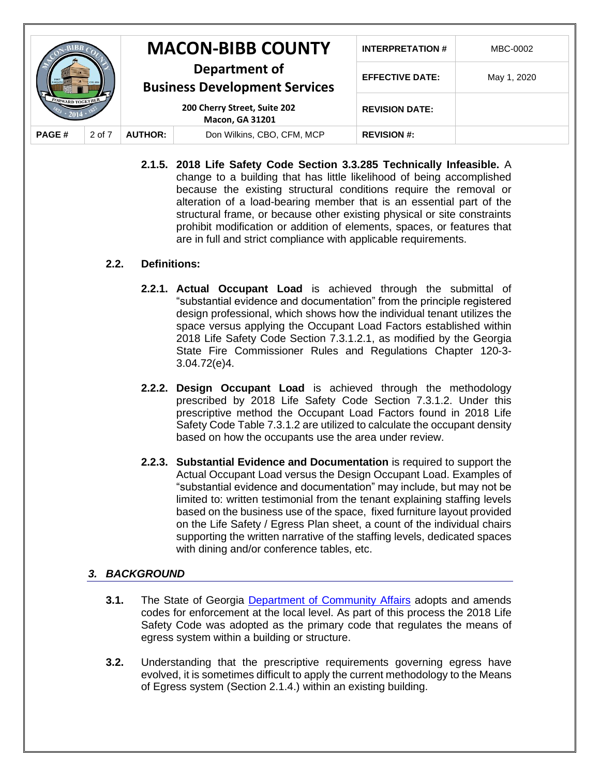|                         |        | <b>MACON-BIBB COUNTY</b>                                                                                        |                            | <b>INTERPRETATION#</b> | MBC-0002    |
|-------------------------|--------|-----------------------------------------------------------------------------------------------------------------|----------------------------|------------------------|-------------|
| <b>FORWARD TOGETHER</b> |        | Department of<br><b>Business Development Services</b><br>200 Cherry Street, Suite 202<br><b>Macon, GA 31201</b> |                            | <b>EFFECTIVE DATE:</b> | May 1, 2020 |
|                         |        |                                                                                                                 |                            | <b>REVISION DATE:</b>  |             |
| <b>PAGE#</b>            | 2 of 7 | <b>AUTHOR:</b>                                                                                                  | Don Wilkins, CBO, CFM, MCP | <b>REVISION #:</b>     |             |

**2.1.5. 2018 Life Safety Code Section 3.3.285 Technically Infeasible.** A change to a building that has little likelihood of being accomplished because the existing structural conditions require the removal or alteration of a load-bearing member that is an essential part of the structural frame, or because other existing physical or site constraints prohibit modification or addition of elements, spaces, or features that are in full and strict compliance with applicable requirements.

### **2.2. Definitions:**

- **2.2.1. Actual Occupant Load** is achieved through the submittal of "substantial evidence and documentation" from the principle registered design professional, which shows how the individual tenant utilizes the space versus applying the Occupant Load Factors established within 2018 Life Safety Code Section 7.3.1.2.1, as modified by the Georgia State Fire Commissioner Rules and Regulations Chapter 120-3- 3.04.72(e)4.
- **2.2.2. Design Occupant Load** is achieved through the methodology prescribed by 2018 Life Safety Code Section 7.3.1.2. Under this prescriptive method the Occupant Load Factors found in 2018 Life Safety Code Table 7.3.1.2 are utilized to calculate the occupant density based on how the occupants use the area under review.
- **2.2.3. Substantial Evidence and Documentation** is required to support the Actual Occupant Load versus the Design Occupant Load. Examples of "substantial evidence and documentation" may include, but may not be limited to: written testimonial from the tenant explaining staffing levels based on the business use of the space, fixed furniture layout provided on the Life Safety / Egress Plan sheet, a count of the individual chairs supporting the written narrative of the staffing levels, dedicated spaces with dining and/or conference tables, etc.

## *3. BACKGROUND*

- **3.1.** The State of Georgia [Department of Community Affairs](http://www.dca.state.ga.us/development/constructioncodes/programs/codes2.asp) adopts and amends codes for enforcement at the local level. As part of this process the 2018 Life Safety Code was adopted as the primary code that regulates the means of egress system within a building or structure.
- **3.2.** Understanding that the prescriptive requirements governing egress have evolved, it is sometimes difficult to apply the current methodology to the Means of Egress system (Section 2.1.4.) within an existing building.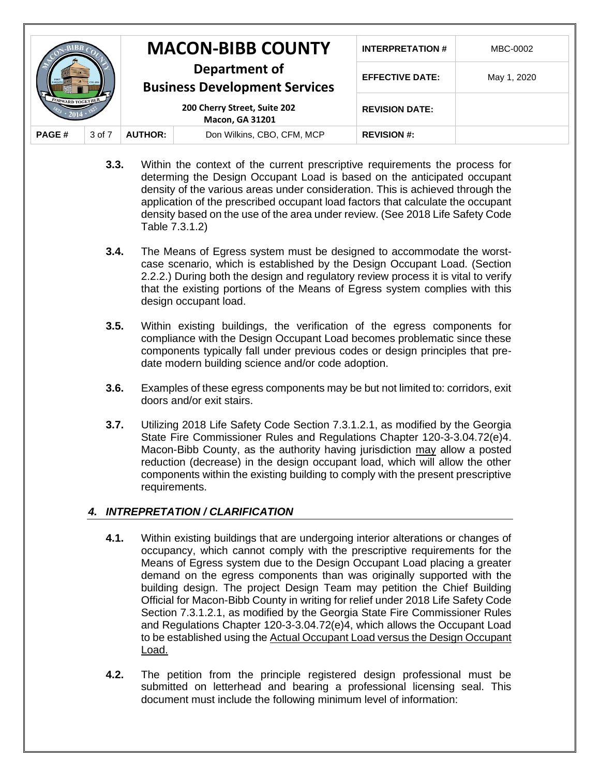|                         |        | <b>MACON-BIBB COUNTY</b>                                                                                        |                            | <b>INTERPRETATION#</b> | MBC-0002    |
|-------------------------|--------|-----------------------------------------------------------------------------------------------------------------|----------------------------|------------------------|-------------|
| <b>FORWARD TOGETHER</b> |        | Department of<br><b>Business Development Services</b><br>200 Cherry Street, Suite 202<br><b>Macon, GA 31201</b> |                            | <b>EFFECTIVE DATE:</b> | May 1, 2020 |
|                         |        |                                                                                                                 |                            | <b>REVISION DATE:</b>  |             |
| <b>PAGE#</b>            | 3 of 7 | <b>AUTHOR:</b>                                                                                                  | Don Wilkins, CBO, CFM, MCP | <b>REVISION #:</b>     |             |

- **3.3.** Within the context of the current prescriptive requirements the process for determing the Design Occupant Load is based on the anticipated occupant density of the various areas under consideration. This is achieved through the application of the prescribed occupant load factors that calculate the occupant density based on the use of the area under review. (See 2018 Life Safety Code Table 7.3.1.2)
- **3.4.** The Means of Egress system must be designed to accommodate the worstcase scenario, which is established by the Design Occupant Load. (Section 2.2.2.) During both the design and regulatory review process it is vital to verify that the existing portions of the Means of Egress system complies with this design occupant load.
- **3.5.** Within existing buildings, the verification of the egress components for compliance with the Design Occupant Load becomes problematic since these components typically fall under previous codes or design principles that predate modern building science and/or code adoption.
- **3.6.** Examples of these egress components may be but not limited to: corridors, exit doors and/or exit stairs.
- **3.7.** Utilizing 2018 Life Safety Code Section 7.3.1.2.1, as modified by the Georgia State Fire Commissioner Rules and Regulations Chapter 120-3-3.04.72(e)4. Macon-Bibb County, as the authority having jurisdiction may allow a posted reduction (decrease) in the design occupant load, which will allow the other components within the existing building to comply with the present prescriptive requirements.

## *4. INTREPRETATION / CLARIFICATION*

- **4.1.** Within existing buildings that are undergoing interior alterations or changes of occupancy, which cannot comply with the prescriptive requirements for the Means of Egress system due to the Design Occupant Load placing a greater demand on the egress components than was originally supported with the building design. The project Design Team may petition the Chief Building Official for Macon-Bibb County in writing for relief under 2018 Life Safety Code Section 7.3.1.2.1, as modified by the Georgia State Fire Commissioner Rules and Regulations Chapter 120-3-3.04.72(e)4, which allows the Occupant Load to be established using the Actual Occupant Load versus the Design Occupant Load.
- **4.2.** The petition from the principle registered design professional must be submitted on letterhead and bearing a professional licensing seal. This document must include the following minimum level of information: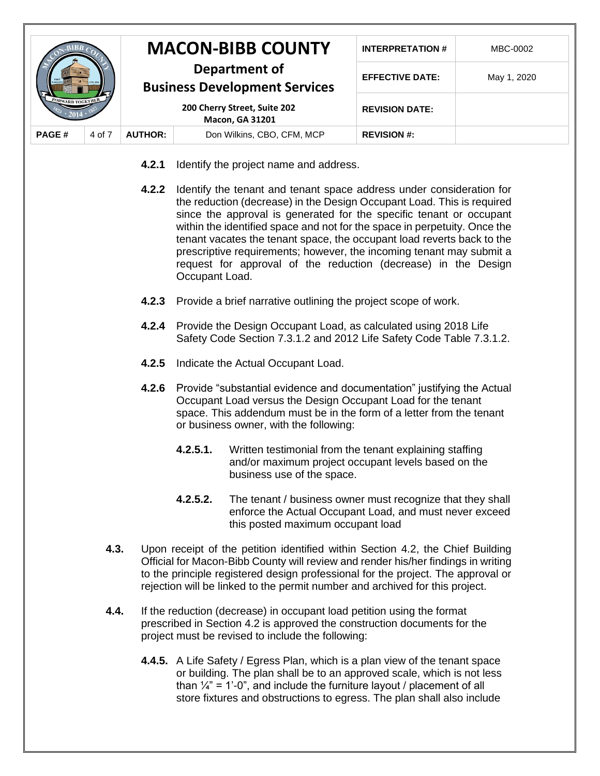|                         |        | <b>MACON-BIBB COUNTY</b>                                                                                        |                            | <b>INTERPRETATION#</b> | MBC-0002    |
|-------------------------|--------|-----------------------------------------------------------------------------------------------------------------|----------------------------|------------------------|-------------|
| <b>FORWARD TOGETHER</b> |        | Department of<br><b>Business Development Services</b><br>200 Cherry Street, Suite 202<br><b>Macon, GA 31201</b> |                            | <b>EFFECTIVE DATE:</b> | May 1, 2020 |
|                         |        |                                                                                                                 |                            | <b>REVISION DATE:</b>  |             |
| <b>PAGE#</b>            | 4 of 7 | <b>AUTHOR:</b>                                                                                                  | Don Wilkins, CBO, CFM, MCP | <b>REVISION #:</b>     |             |

- **4.2.1** Identify the project name and address.
- **4.2.2** Identify the tenant and tenant space address under consideration for the reduction (decrease) in the Design Occupant Load. This is required since the approval is generated for the specific tenant or occupant within the identified space and not for the space in perpetuity. Once the tenant vacates the tenant space, the occupant load reverts back to the prescriptive requirements; however, the incoming tenant may submit a request for approval of the reduction (decrease) in the Design Occupant Load.
- **4.2.3** Provide a brief narrative outlining the project scope of work.
- **4.2.4** Provide the Design Occupant Load, as calculated using 2018 Life Safety Code Section 7.3.1.2 and 2012 Life Safety Code Table 7.3.1.2.
- **4.2.5** Indicate the Actual Occupant Load.
- **4.2.6** Provide "substantial evidence and documentation" justifying the Actual Occupant Load versus the Design Occupant Load for the tenant space. This addendum must be in the form of a letter from the tenant or business owner, with the following:
	- **4.2.5.1.** Written testimonial from the tenant explaining staffing and/or maximum project occupant levels based on the business use of the space.
	- **4.2.5.2.** The tenant / business owner must recognize that they shall enforce the Actual Occupant Load, and must never exceed this posted maximum occupant load
- **4.3.** Upon receipt of the petition identified within Section 4.2, the Chief Building Official for Macon-Bibb County will review and render his/her findings in writing to the principle registered design professional for the project. The approval or rejection will be linked to the permit number and archived for this project.
- **4.4.** If the reduction (decrease) in occupant load petition using the format prescribed in Section 4.2 is approved the construction documents for the project must be revised to include the following:
	- **4.4.5.** A Life Safety / Egress Plan, which is a plan view of the tenant space or building. The plan shall be to an approved scale, which is not less than  $\frac{1}{4}$ " = 1'-0", and include the furniture layout / placement of all store fixtures and obstructions to egress. The plan shall also include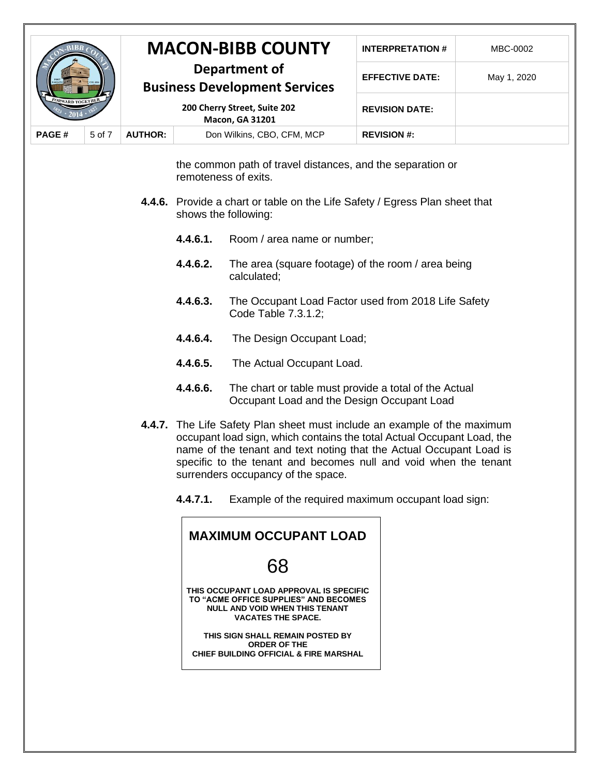|                         |        | <b>MACON-BIBB COUNTY</b>                                                                                        |                            | <b>INTERPRETATION#</b> | MBC-0002    |
|-------------------------|--------|-----------------------------------------------------------------------------------------------------------------|----------------------------|------------------------|-------------|
| <b>FORWARD TOGETHER</b> |        | Department of<br><b>Business Development Services</b><br>200 Cherry Street, Suite 202<br><b>Macon, GA 31201</b> |                            | <b>EFFECTIVE DATE:</b> | May 1, 2020 |
|                         |        |                                                                                                                 |                            | <b>REVISION DATE:</b>  |             |
| <b>PAGE#</b>            | 5 of 7 | <b>AUTHOR:</b>                                                                                                  | Don Wilkins, CBO, CFM, MCP | <b>REVISION #:</b>     |             |

the common path of travel distances, and the separation or remoteness of exits.

- **4.4.6.** Provide a chart or table on the Life Safety / Egress Plan sheet that shows the following:
	- **4.4.6.1.** Room / area name or number;
	- **4.4.6.2.** The area (square footage) of the room / area being calculated;
	- **4.4.6.3.** The Occupant Load Factor used from 2018 Life Safety Code Table 7.3.1.2;
	- **4.4.6.4.** The Design Occupant Load;
	- **4.4.6.5.** The Actual Occupant Load.
	- **4.4.6.6.** The chart or table must provide a total of the Actual Occupant Load and the Design Occupant Load
- **4.4.7.** The Life Safety Plan sheet must include an example of the maximum occupant load sign, which contains the total Actual Occupant Load, the name of the tenant and text noting that the Actual Occupant Load is specific to the tenant and becomes null and void when the tenant surrenders occupancy of the space.
	- **4.4.7.1.** Example of the required maximum occupant load sign:

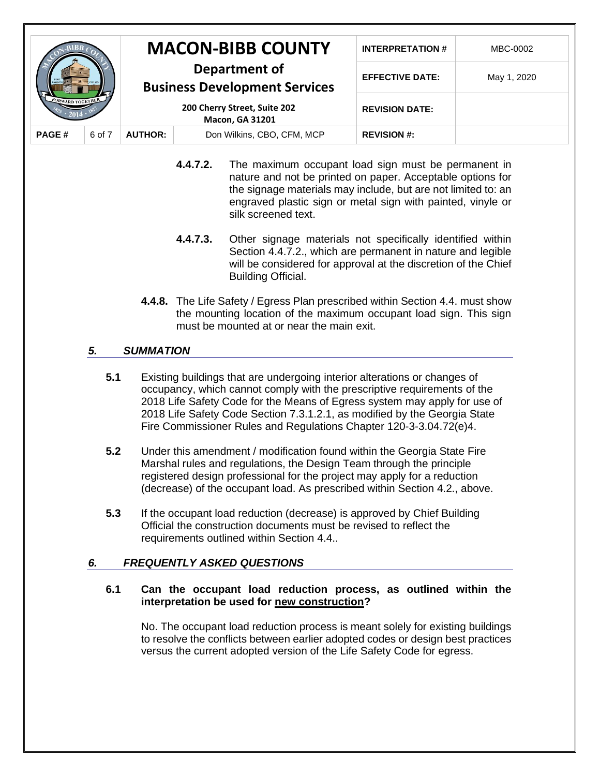|                                       |        | <b>MACON-BIBB COUNTY</b>                                                                                        |                            | <b>INTERPRETATION#</b> | MBC-0002    |
|---------------------------------------|--------|-----------------------------------------------------------------------------------------------------------------|----------------------------|------------------------|-------------|
| <b><i><u>*ORWARD TOGETHER</u></i></b> |        | Department of<br><b>Business Development Services</b><br>200 Cherry Street, Suite 202<br><b>Macon, GA 31201</b> |                            | <b>EFFECTIVE DATE:</b> | May 1, 2020 |
|                                       |        |                                                                                                                 |                            | <b>REVISION DATE:</b>  |             |
| <b>PAGE#</b>                          | 6 of 7 | <b>AUTHOR:</b>                                                                                                  | Don Wilkins, CBO, CFM, MCP | <b>REVISION #:</b>     |             |

- **4.4.7.2.** The maximum occupant load sign must be permanent in nature and not be printed on paper. Acceptable options for the signage materials may include, but are not limited to: an engraved plastic sign or metal sign with painted, vinyle or silk screened text.
- **4.4.7.3.** Other signage materials not specifically identified within Section 4.4.7.2., which are permanent in nature and legible will be considered for approval at the discretion of the Chief Building Official.
- **4.4.8.** The Life Safety / Egress Plan prescribed within Section 4.4. must show the mounting location of the maximum occupant load sign. This sign must be mounted at or near the main exit.

## *5. SUMMATION*

- **5.1** Existing buildings that are undergoing interior alterations or changes of occupancy, which cannot comply with the prescriptive requirements of the 2018 Life Safety Code for the Means of Egress system may apply for use of 2018 Life Safety Code Section 7.3.1.2.1, as modified by the Georgia State Fire Commissioner Rules and Regulations Chapter 120-3-3.04.72(e)4.
- **5.2** Under this amendment / modification found within the Georgia State Fire Marshal rules and regulations, the Design Team through the principle registered design professional for the project may apply for a reduction (decrease) of the occupant load. As prescribed within Section 4.2., above.
- **5.3** If the occupant load reduction (decrease) is approved by Chief Building Official the construction documents must be revised to reflect the requirements outlined within Section 4.4..

### *6. FREQUENTLY ASKED QUESTIONS*

#### **6.1 Can the occupant load reduction process, as outlined within the interpretation be used for new construction?**

No. The occupant load reduction process is meant solely for existing buildings to resolve the conflicts between earlier adopted codes or design best practices versus the current adopted version of the Life Safety Code for egress.